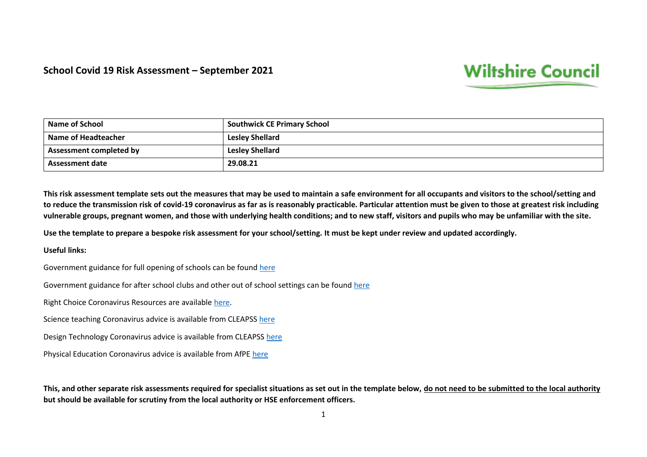## **School Covid 19 Risk Assessment – September 2021**

## **Wiltshire Council**

| <b>Name of School</b>          | <b>Southwick CE Primary School</b> |
|--------------------------------|------------------------------------|
| Name of Headteacher            | <b>Lesley Shellard</b>             |
| <b>Assessment completed by</b> | <b>Lesley Shellard</b>             |
| <b>Assessment date</b>         | 29.08.21                           |

**This risk assessment template sets out the measures that may be used to maintain a safe environment for all occupants and visitors to the school/setting and to reduce the transmission risk of covid-19 coronavirus as far as is reasonably practicable. Particular attention must be given to those at greatest risk including vulnerable groups, pregnant women, and those with underlying health conditions; and to new staff, visitors and pupils who may be unfamiliar with the site.**

**Use the template to prepare a bespoke risk assessment for your school/setting. It must be kept under review and updated accordingly.** 

## **Useful links:**

Government guidance for full opening of schools can be found [here](https://eur02.safelinks.protection.outlook.com/?url=https%3A%2F%2Fwww.gov.uk%2Fgovernment%2Fpublications%2Factions-for-schools-during-the-coronavirus-outbreak%2Fguidance-for-full-opening-schools&data=02%7C01%7Cann.durbin%40wiltshire.gov.uk%7Cab8e7d513f3d4b720e2108d81e69dd4d%7C5546e75e3be14813b0ff26651ea2fe19%7C0%7C0%7C637292787311482561&sdata=BFgBw8xH8rljnvW5R56a0IAh5dCSfGPRcg58VhifFzw%3D&reserved=0)

Government guidance for after school clubs and other out of school settings can be found [here](https://www.gov.uk/government/publications/protective-measures-for-holiday-or-after-school-clubs-and-other-out-of-school-settings-for-children-during-the-coronavirus-covid-19-outbreak/protective-measures-for-out-of-school-settings-during-the-coronavirus-covid-19-outbreak)

Right Choice Coronavirus Resources are available [here.](https://rightchoice.wiltshire.gov.uk/P16834)

Science teaching Coronavirus advice is available from CLEAPSS [here](https://eur02.safelinks.protection.outlook.com/?url=http%3A%2F%2Fscience.cleapss.org.uk%2F&data=02%7C01%7Cpaul.collyer%40wiltshire.gov.uk%7Cc021783494934fd93f8b08d821916dc1%7C5546e75e3be14813b0ff26651ea2fe19%7C0%7C0%7C637296255774485385&sdata=i4monajLdg897wQ9uMHzw58ajei8R70LdCav%2Fg7jMyw%3D&reserved=0)

Design Technology Coronavirus advice is available from CLEAPS[S here](https://eur02.safelinks.protection.outlook.com/?url=http%3A%2F%2Fdt.cleapss.org.uk%2F&data=02%7C01%7Cpaul.collyer%40wiltshire.gov.uk%7Cc021783494934fd93f8b08d821916dc1%7C5546e75e3be14813b0ff26651ea2fe19%7C0%7C0%7C637296255774495381&sdata=WT69RvFYXIi5nGi%2Fh85QPDzXmPIxjrLT0uaCeULy4ss%3D&reserved=0)

Physical Education Coronavirus advice is available from AfPE [here](https://www.afpe.org.uk/physical-education/dfe-guidance-on-the-full-opening-of-schools-in-september/)

**This, and other separate risk assessments required for specialist situations as set out in the template below, do not need to be submitted to the local authority but should be available for scrutiny from the local authority or HSE enforcement officers.**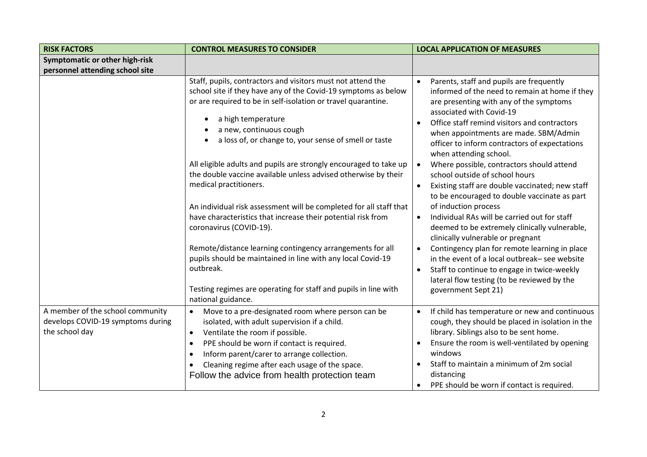| <b>RISK FACTORS</b>               | <b>CONTROL MEASURES TO CONSIDER</b>                                                                                                | <b>LOCAL APPLICATION OF MEASURES</b>                                               |
|-----------------------------------|------------------------------------------------------------------------------------------------------------------------------------|------------------------------------------------------------------------------------|
| Symptomatic or other high-risk    |                                                                                                                                    |                                                                                    |
| personnel attending school site   |                                                                                                                                    |                                                                                    |
|                                   | Staff, pupils, contractors and visitors must not attend the                                                                        | Parents, staff and pupils are frequently                                           |
|                                   | school site if they have any of the Covid-19 symptoms as below                                                                     | informed of the need to remain at home if they                                     |
|                                   | or are required to be in self-isolation or travel quarantine.                                                                      | are presenting with any of the symptoms                                            |
|                                   | a high temperature                                                                                                                 | associated with Covid-19                                                           |
|                                   | a new, continuous cough                                                                                                            | Office staff remind visitors and contractors                                       |
|                                   | a loss of, or change to, your sense of smell or taste                                                                              | when appointments are made. SBM/Admin                                              |
|                                   |                                                                                                                                    | officer to inform contractors of expectations                                      |
|                                   |                                                                                                                                    | when attending school.                                                             |
|                                   | All eligible adults and pupils are strongly encouraged to take up                                                                  | Where possible, contractors should attend                                          |
|                                   | the double vaccine available unless advised otherwise by their                                                                     | school outside of school hours                                                     |
|                                   | medical practitioners.                                                                                                             | Existing staff are double vaccinated; new staff                                    |
|                                   |                                                                                                                                    | to be encouraged to double vaccinate as part                                       |
|                                   | An individual risk assessment will be completed for all staff that<br>have characteristics that increase their potential risk from | of induction process<br>Individual RAs will be carried out for staff               |
|                                   | coronavirus (COVID-19).                                                                                                            |                                                                                    |
|                                   |                                                                                                                                    | deemed to be extremely clinically vulnerable,<br>clinically vulnerable or pregnant |
|                                   | Remote/distance learning contingency arrangements for all                                                                          | Contingency plan for remote learning in place                                      |
|                                   | pupils should be maintained in line with any local Covid-19                                                                        | in the event of a local outbreak-see website                                       |
|                                   | outbreak.                                                                                                                          | Staff to continue to engage in twice-weekly                                        |
|                                   |                                                                                                                                    | lateral flow testing (to be reviewed by the                                        |
|                                   | Testing regimes are operating for staff and pupils in line with                                                                    | government Sept 21)                                                                |
|                                   | national guidance.                                                                                                                 |                                                                                    |
| A member of the school community  | Move to a pre-designated room where person can be<br>$\bullet$                                                                     | If child has temperature or new and continuous                                     |
| develops COVID-19 symptoms during | isolated, with adult supervision if a child.                                                                                       | cough, they should be placed in isolation in the                                   |
| the school day                    | Ventilate the room if possible.<br>$\bullet$                                                                                       | library. Siblings also to be sent home.                                            |
|                                   | PPE should be worn if contact is required.<br>$\bullet$                                                                            | Ensure the room is well-ventilated by opening                                      |
|                                   | Inform parent/carer to arrange collection.<br>$\bullet$                                                                            | windows                                                                            |
|                                   | Cleaning regime after each usage of the space.<br>$\bullet$                                                                        | Staff to maintain a minimum of 2m social                                           |
|                                   | Follow the advice from health protection team                                                                                      | distancing                                                                         |
|                                   |                                                                                                                                    | PPE should be worn if contact is required.                                         |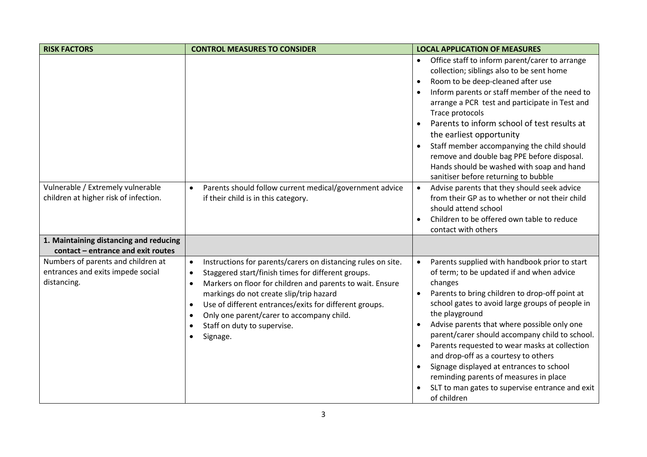| <b>RISK FACTORS</b>                                                                    | <b>CONTROL MEASURES TO CONSIDER</b>                                                                                                                                                                                                                                                                                                                                                                                                                        | <b>LOCAL APPLICATION OF MEASURES</b>                                                                                                                                                                                                                                                                                                                                                                                                                                                                                                                                           |
|----------------------------------------------------------------------------------------|------------------------------------------------------------------------------------------------------------------------------------------------------------------------------------------------------------------------------------------------------------------------------------------------------------------------------------------------------------------------------------------------------------------------------------------------------------|--------------------------------------------------------------------------------------------------------------------------------------------------------------------------------------------------------------------------------------------------------------------------------------------------------------------------------------------------------------------------------------------------------------------------------------------------------------------------------------------------------------------------------------------------------------------------------|
|                                                                                        |                                                                                                                                                                                                                                                                                                                                                                                                                                                            | Office staff to inform parent/carer to arrange<br>collection; siblings also to be sent home<br>Room to be deep-cleaned after use<br>$\bullet$<br>Inform parents or staff member of the need to<br>arrange a PCR test and participate in Test and<br>Trace protocols<br>Parents to inform school of test results at<br>$\bullet$<br>the earliest opportunity<br>Staff member accompanying the child should<br>$\bullet$<br>remove and double bag PPE before disposal.<br>Hands should be washed with soap and hand<br>sanitiser before returning to bubble                      |
| Vulnerable / Extremely vulnerable<br>children at higher risk of infection.             | Parents should follow current medical/government advice<br>$\bullet$<br>if their child is in this category.                                                                                                                                                                                                                                                                                                                                                | Advise parents that they should seek advice<br>from their GP as to whether or not their child<br>should attend school<br>Children to be offered own table to reduce<br>contact with others                                                                                                                                                                                                                                                                                                                                                                                     |
| 1. Maintaining distancing and reducing<br>contact - entrance and exit routes           |                                                                                                                                                                                                                                                                                                                                                                                                                                                            |                                                                                                                                                                                                                                                                                                                                                                                                                                                                                                                                                                                |
| Numbers of parents and children at<br>entrances and exits impede social<br>distancing. | Instructions for parents/carers on distancing rules on site.<br>$\bullet$<br>Staggered start/finish times for different groups.<br>$\bullet$<br>Markers on floor for children and parents to wait. Ensure<br>$\bullet$<br>markings do not create slip/trip hazard<br>Use of different entrances/exits for different groups.<br>$\bullet$<br>Only one parent/carer to accompany child.<br>$\bullet$<br>Staff on duty to supervise.<br>$\bullet$<br>Signage. | Parents supplied with handbook prior to start<br>of term; to be updated if and when advice<br>changes<br>Parents to bring children to drop-off point at<br>school gates to avoid large groups of people in<br>the playground<br>Advise parents that where possible only one<br>parent/carer should accompany child to school.<br>Parents requested to wear masks at collection<br>and drop-off as a courtesy to others<br>Signage displayed at entrances to school<br>reminding parents of measures in place<br>SLT to man gates to supervise entrance and exit<br>of children |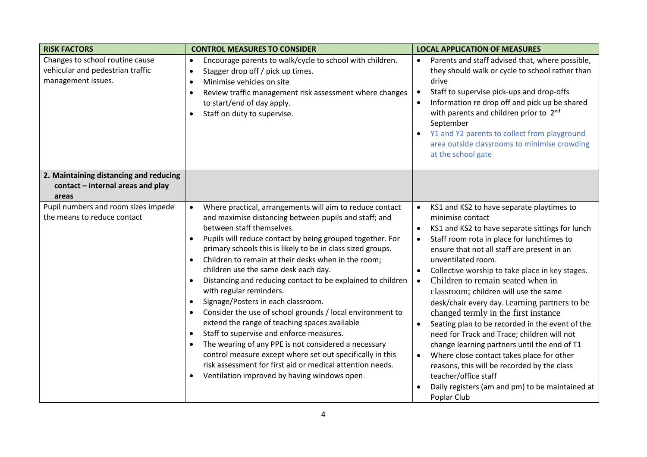| <b>RISK FACTORS</b>                                                                       | <b>CONTROL MEASURES TO CONSIDER</b>                                                                                                                                                                                                                                                                                                                                                                                                                                                                                                                                                                                                                                                                                                                                                                                                                                                                                                                                                                           | <b>LOCAL APPLICATION OF MEASURES</b>                                                                                                                                                                                                                                                                                                                                                                                                                                                                                                                                                                                                                                                                                                                                                                                                                      |
|-------------------------------------------------------------------------------------------|---------------------------------------------------------------------------------------------------------------------------------------------------------------------------------------------------------------------------------------------------------------------------------------------------------------------------------------------------------------------------------------------------------------------------------------------------------------------------------------------------------------------------------------------------------------------------------------------------------------------------------------------------------------------------------------------------------------------------------------------------------------------------------------------------------------------------------------------------------------------------------------------------------------------------------------------------------------------------------------------------------------|-----------------------------------------------------------------------------------------------------------------------------------------------------------------------------------------------------------------------------------------------------------------------------------------------------------------------------------------------------------------------------------------------------------------------------------------------------------------------------------------------------------------------------------------------------------------------------------------------------------------------------------------------------------------------------------------------------------------------------------------------------------------------------------------------------------------------------------------------------------|
| Changes to school routine cause<br>vehicular and pedestrian traffic<br>management issues. | Encourage parents to walk/cycle to school with children.<br>$\bullet$<br>Stagger drop off / pick up times.<br>$\bullet$<br>Minimise vehicles on site<br>$\bullet$<br>Review traffic management risk assessment where changes<br>$\bullet$<br>to start/end of day apply.<br>Staff on duty to supervise.                                                                                                                                                                                                                                                                                                                                                                                                                                                                                                                                                                                                                                                                                                        | Parents and staff advised that, where possible,<br>they should walk or cycle to school rather than<br>drive<br>Staff to supervise pick-ups and drop-offs<br>Information re drop off and pick up be shared<br>with parents and children prior to 2nd<br>September<br>Y1 and Y2 parents to collect from playground<br>area outside classrooms to minimise crowding<br>at the school gate                                                                                                                                                                                                                                                                                                                                                                                                                                                                    |
| 2. Maintaining distancing and reducing                                                    |                                                                                                                                                                                                                                                                                                                                                                                                                                                                                                                                                                                                                                                                                                                                                                                                                                                                                                                                                                                                               |                                                                                                                                                                                                                                                                                                                                                                                                                                                                                                                                                                                                                                                                                                                                                                                                                                                           |
| contact - internal areas and play<br>areas                                                |                                                                                                                                                                                                                                                                                                                                                                                                                                                                                                                                                                                                                                                                                                                                                                                                                                                                                                                                                                                                               |                                                                                                                                                                                                                                                                                                                                                                                                                                                                                                                                                                                                                                                                                                                                                                                                                                                           |
| Pupil numbers and room sizes impede<br>the means to reduce contact                        | Where practical, arrangements will aim to reduce contact<br>$\bullet$<br>and maximise distancing between pupils and staff; and<br>between staff themselves.<br>Pupils will reduce contact by being grouped together. For<br>$\bullet$<br>primary schools this is likely to be in class sized groups.<br>Children to remain at their desks when in the room;<br>$\bullet$<br>children use the same desk each day.<br>Distancing and reducing contact to be explained to children<br>$\bullet$<br>with regular reminders.<br>Signage/Posters in each classroom.<br>$\bullet$<br>Consider the use of school grounds / local environment to<br>extend the range of teaching spaces available<br>Staff to supervise and enforce measures.<br>$\bullet$<br>The wearing of any PPE is not considered a necessary<br>$\bullet$<br>control measure except where set out specifically in this<br>risk assessment for first aid or medical attention needs.<br>Ventilation improved by having windows open.<br>$\bullet$ | KS1 and KS2 to have separate playtimes to<br>$\bullet$<br>minimise contact<br>KS1 and KS2 to have separate sittings for lunch<br>$\bullet$<br>Staff room rota in place for lunchtimes to<br>$\bullet$<br>ensure that not all staff are present in an<br>unventilated room.<br>Collective worship to take place in key stages.<br>Children to remain seated when in<br>classroom; children will use the same<br>desk/chair every day. Learning partners to be<br>changed termly in the first instance<br>Seating plan to be recorded in the event of the<br>$\bullet$<br>need for Track and Trace; children will not<br>change learning partners until the end of T1<br>Where close contact takes place for other<br>reasons, this will be recorded by the class<br>teacher/office staff<br>Daily registers (am and pm) to be maintained at<br>Poplar Club |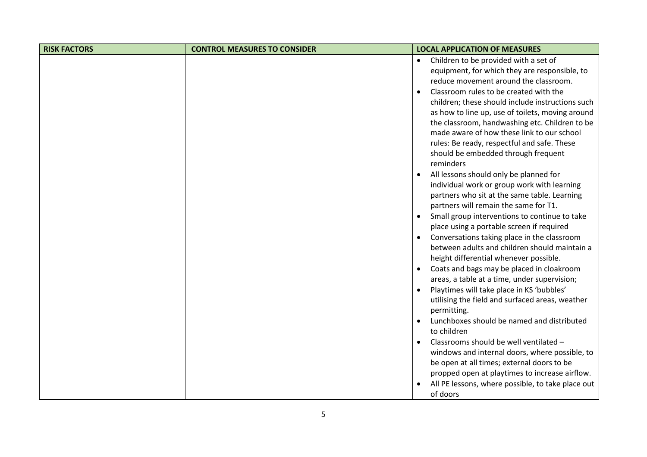| <b>RISK FACTORS</b> | <b>CONTROL MEASURES TO CONSIDER</b> | <b>LOCAL APPLICATION OF MEASURES</b>                                                         |
|---------------------|-------------------------------------|----------------------------------------------------------------------------------------------|
|                     |                                     | Children to be provided with a set of<br>$\bullet$                                           |
|                     |                                     | equipment, for which they are responsible, to                                                |
|                     |                                     | reduce movement around the classroom.                                                        |
|                     |                                     | Classroom rules to be created with the<br>$\bullet$                                          |
|                     |                                     | children; these should include instructions such                                             |
|                     |                                     | as how to line up, use of toilets, moving around                                             |
|                     |                                     | the classroom, handwashing etc. Children to be<br>made aware of how these link to our school |
|                     |                                     | rules: Be ready, respectful and safe. These                                                  |
|                     |                                     | should be embedded through frequent                                                          |
|                     |                                     | reminders                                                                                    |
|                     |                                     | All lessons should only be planned for<br>$\bullet$                                          |
|                     |                                     | individual work or group work with learning                                                  |
|                     |                                     | partners who sit at the same table. Learning                                                 |
|                     |                                     | partners will remain the same for T1.                                                        |
|                     |                                     | Small group interventions to continue to take<br>$\bullet$                                   |
|                     |                                     | place using a portable screen if required                                                    |
|                     |                                     | Conversations taking place in the classroom<br>between adults and children should maintain a |
|                     |                                     | height differential whenever possible.                                                       |
|                     |                                     | Coats and bags may be placed in cloakroom<br>$\bullet$                                       |
|                     |                                     | areas, a table at a time, under supervision;                                                 |
|                     |                                     | Playtimes will take place in KS 'bubbles'                                                    |
|                     |                                     | utilising the field and surfaced areas, weather                                              |
|                     |                                     | permitting.                                                                                  |
|                     |                                     | Lunchboxes should be named and distributed<br>$\bullet$                                      |
|                     |                                     | to children                                                                                  |
|                     |                                     | Classrooms should be well ventilated -                                                       |
|                     |                                     | windows and internal doors, where possible, to                                               |
|                     |                                     | be open at all times; external doors to be<br>propped open at playtimes to increase airflow. |
|                     |                                     | All PE lessons, where possible, to take place out                                            |
|                     |                                     | of doors                                                                                     |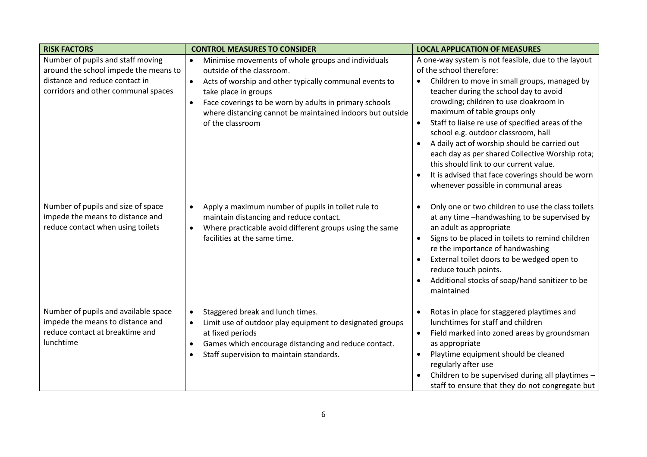| <b>RISK FACTORS</b>                                                                                                                                 | <b>CONTROL MEASURES TO CONSIDER</b>                                                                                                                                                                                                                                                                                                                 | <b>LOCAL APPLICATION OF MEASURES</b>                                                                                                                                                                                                                                                                                                                                                                                                                                                                                                                                                                |
|-----------------------------------------------------------------------------------------------------------------------------------------------------|-----------------------------------------------------------------------------------------------------------------------------------------------------------------------------------------------------------------------------------------------------------------------------------------------------------------------------------------------------|-----------------------------------------------------------------------------------------------------------------------------------------------------------------------------------------------------------------------------------------------------------------------------------------------------------------------------------------------------------------------------------------------------------------------------------------------------------------------------------------------------------------------------------------------------------------------------------------------------|
| Number of pupils and staff moving<br>around the school impede the means to<br>distance and reduce contact in<br>corridors and other communal spaces | Minimise movements of whole groups and individuals<br>$\bullet$<br>outside of the classroom.<br>Acts of worship and other typically communal events to<br>$\bullet$<br>take place in groups<br>Face coverings to be worn by adults in primary schools<br>$\bullet$<br>where distancing cannot be maintained indoors but outside<br>of the classroom | A one-way system is not feasible, due to the layout<br>of the school therefore:<br>Children to move in small groups, managed by<br>$\bullet$<br>teacher during the school day to avoid<br>crowding; children to use cloakroom in<br>maximum of table groups only<br>Staff to liaise re use of specified areas of the<br>school e.g. outdoor classroom, hall<br>A daily act of worship should be carried out<br>each day as per shared Collective Worship rota;<br>this should link to our current value.<br>It is advised that face coverings should be worn<br>whenever possible in communal areas |
| Number of pupils and size of space<br>impede the means to distance and<br>reduce contact when using toilets                                         | Apply a maximum number of pupils in toilet rule to<br>$\bullet$<br>maintain distancing and reduce contact.<br>Where practicable avoid different groups using the same<br>$\bullet$<br>facilities at the same time.                                                                                                                                  | Only one or two children to use the class toilets<br>$\bullet$<br>at any time -handwashing to be supervised by<br>an adult as appropriate<br>Signs to be placed in toilets to remind children<br>$\bullet$<br>re the importance of handwashing<br>External toilet doors to be wedged open to<br>reduce touch points.<br>Additional stocks of soap/hand sanitizer to be<br>maintained                                                                                                                                                                                                                |
| Number of pupils and available space<br>impede the means to distance and<br>reduce contact at breaktime and<br>lunchtime                            | Staggered break and lunch times.<br>$\bullet$<br>Limit use of outdoor play equipment to designated groups<br>$\bullet$<br>at fixed periods<br>Games which encourage distancing and reduce contact.<br>$\bullet$<br>Staff supervision to maintain standards.<br>$\bullet$                                                                            | Rotas in place for staggered playtimes and<br>$\bullet$<br>lunchtimes for staff and children<br>Field marked into zoned areas by groundsman<br>$\bullet$<br>as appropriate<br>Playtime equipment should be cleaned<br>regularly after use<br>Children to be supervised during all playtimes -<br>staff to ensure that they do not congregate but                                                                                                                                                                                                                                                    |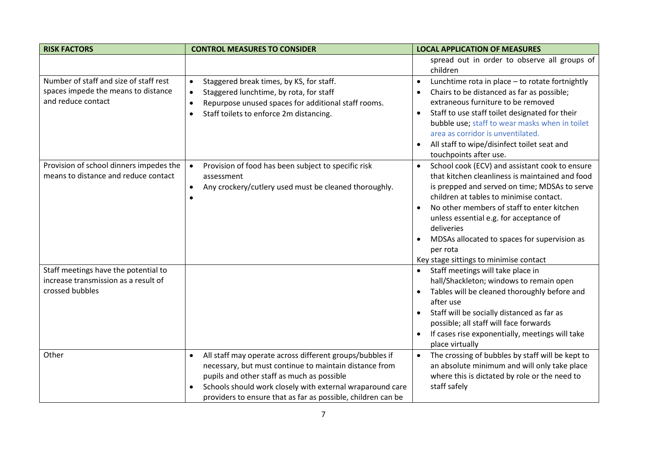| <b>RISK FACTORS</b>                                                                                 | <b>CONTROL MEASURES TO CONSIDER</b>                                                                                                                                                                                                                                                                        | <b>LOCAL APPLICATION OF MEASURES</b>                                                                                                                                                                                                                                                                                                                                                                                                 |
|-----------------------------------------------------------------------------------------------------|------------------------------------------------------------------------------------------------------------------------------------------------------------------------------------------------------------------------------------------------------------------------------------------------------------|--------------------------------------------------------------------------------------------------------------------------------------------------------------------------------------------------------------------------------------------------------------------------------------------------------------------------------------------------------------------------------------------------------------------------------------|
|                                                                                                     |                                                                                                                                                                                                                                                                                                            | spread out in order to observe all groups of<br>children                                                                                                                                                                                                                                                                                                                                                                             |
| Number of staff and size of staff rest<br>spaces impede the means to distance<br>and reduce contact | Staggered break times, by KS, for staff.<br>$\bullet$<br>Staggered lunchtime, by rota, for staff<br>$\bullet$<br>Repurpose unused spaces for additional staff rooms.<br>$\bullet$<br>Staff toilets to enforce 2m distancing.<br>$\bullet$                                                                  | Lunchtime rota in place - to rotate fortnightly<br>$\bullet$<br>Chairs to be distanced as far as possible;<br>extraneous furniture to be removed<br>Staff to use staff toilet designated for their<br>bubble use; staff to wear masks when in toilet<br>area as corridor is unventilated.<br>All staff to wipe/disinfect toilet seat and<br>touchpoints after use.                                                                   |
| Provision of school dinners impedes the<br>means to distance and reduce contact                     | Provision of food has been subject to specific risk<br>$\bullet$<br>assessment<br>Any crockery/cutlery used must be cleaned thoroughly.<br>$\bullet$<br>$\bullet$                                                                                                                                          | School cook (ECV) and assistant cook to ensure<br>$\bullet$<br>that kitchen cleanliness is maintained and food<br>is prepped and served on time; MDSAs to serve<br>children at tables to minimise contact.<br>No other members of staff to enter kitchen<br>$\bullet$<br>unless essential e.g. for acceptance of<br>deliveries<br>MDSAs allocated to spaces for supervision as<br>per rota<br>Key stage sittings to minimise contact |
| Staff meetings have the potential to<br>increase transmission as a result of<br>crossed bubbles     |                                                                                                                                                                                                                                                                                                            | Staff meetings will take place in<br>$\bullet$<br>hall/Shackleton; windows to remain open<br>Tables will be cleaned thoroughly before and<br>after use<br>Staff will be socially distanced as far as<br>possible; all staff will face forwards<br>If cases rise exponentially, meetings will take<br>$\bullet$<br>place virtually                                                                                                    |
| Other                                                                                               | All staff may operate across different groups/bubbles if<br>$\bullet$<br>necessary, but must continue to maintain distance from<br>pupils and other staff as much as possible<br>Schools should work closely with external wraparound care<br>providers to ensure that as far as possible, children can be | The crossing of bubbles by staff will be kept to<br>$\bullet$<br>an absolute minimum and will only take place<br>where this is dictated by role or the need to<br>staff safely                                                                                                                                                                                                                                                       |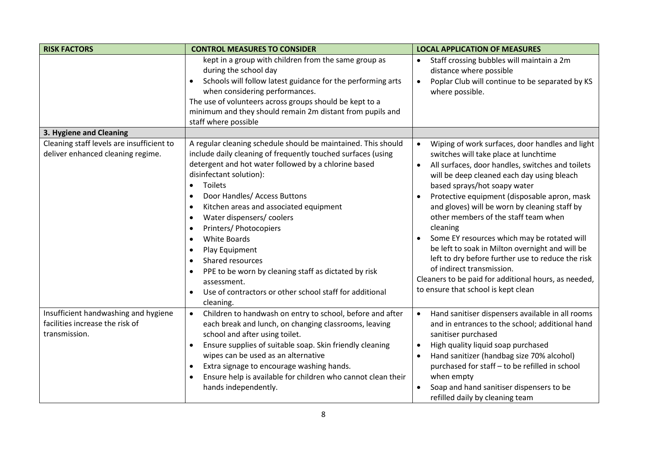| <b>RISK FACTORS</b>                                                                      | <b>CONTROL MEASURES TO CONSIDER</b>                                                                                                                                                                                                                                                                                                                                                                                                                                                                                                                                                                                                                                                    | <b>LOCAL APPLICATION OF MEASURES</b>                                                                                                                                                                                                                                                                                                                                                                                                                                                                                                                                                                                                                                                         |
|------------------------------------------------------------------------------------------|----------------------------------------------------------------------------------------------------------------------------------------------------------------------------------------------------------------------------------------------------------------------------------------------------------------------------------------------------------------------------------------------------------------------------------------------------------------------------------------------------------------------------------------------------------------------------------------------------------------------------------------------------------------------------------------|----------------------------------------------------------------------------------------------------------------------------------------------------------------------------------------------------------------------------------------------------------------------------------------------------------------------------------------------------------------------------------------------------------------------------------------------------------------------------------------------------------------------------------------------------------------------------------------------------------------------------------------------------------------------------------------------|
|                                                                                          | kept in a group with children from the same group as<br>during the school day<br>Schools will follow latest guidance for the performing arts<br>when considering performances.<br>The use of volunteers across groups should be kept to a<br>minimum and they should remain 2m distant from pupils and<br>staff where possible                                                                                                                                                                                                                                                                                                                                                         | Staff crossing bubbles will maintain a 2m<br>distance where possible<br>Poplar Club will continue to be separated by KS<br>$\bullet$<br>where possible.                                                                                                                                                                                                                                                                                                                                                                                                                                                                                                                                      |
| 3. Hygiene and Cleaning                                                                  |                                                                                                                                                                                                                                                                                                                                                                                                                                                                                                                                                                                                                                                                                        |                                                                                                                                                                                                                                                                                                                                                                                                                                                                                                                                                                                                                                                                                              |
| Cleaning staff levels are insufficient to<br>deliver enhanced cleaning regime.           | A regular cleaning schedule should be maintained. This should<br>include daily cleaning of frequently touched surfaces (using<br>detergent and hot water followed by a chlorine based<br>disinfectant solution):<br>Toilets<br>$\bullet$<br>Door Handles/ Access Buttons<br>$\bullet$<br>Kitchen areas and associated equipment<br>$\bullet$<br>Water dispensers/ coolers<br>$\bullet$<br>Printers/ Photocopiers<br>$\bullet$<br>White Boards<br>$\bullet$<br>Play Equipment<br>$\bullet$<br>Shared resources<br>$\bullet$<br>PPE to be worn by cleaning staff as dictated by risk<br>$\bullet$<br>assessment.<br>Use of contractors or other school staff for additional<br>cleaning. | Wiping of work surfaces, door handles and light<br>$\bullet$<br>switches will take place at lunchtime<br>All surfaces, door handles, switches and toilets<br>$\bullet$<br>will be deep cleaned each day using bleach<br>based sprays/hot soapy water<br>Protective equipment (disposable apron, mask<br>and gloves) will be worn by cleaning staff by<br>other members of the staff team when<br>cleaning<br>Some EY resources which may be rotated will<br>be left to soak in Milton overnight and will be<br>left to dry before further use to reduce the risk<br>of indirect transmission.<br>Cleaners to be paid for additional hours, as needed,<br>to ensure that school is kept clean |
| Insufficient handwashing and hygiene<br>facilities increase the risk of<br>transmission. | Children to handwash on entry to school, before and after<br>$\bullet$<br>each break and lunch, on changing classrooms, leaving<br>school and after using toilet.<br>Ensure supplies of suitable soap. Skin friendly cleaning<br>$\bullet$<br>wipes can be used as an alternative<br>Extra signage to encourage washing hands.<br>$\bullet$<br>Ensure help is available for children who cannot clean their<br>$\bullet$<br>hands independently.                                                                                                                                                                                                                                       | Hand sanitiser dispensers available in all rooms<br>$\bullet$<br>and in entrances to the school; additional hand<br>sanitiser purchased<br>High quality liquid soap purchased<br>$\bullet$<br>Hand sanitizer (handbag size 70% alcohol)<br>purchased for staff - to be refilled in school<br>when empty<br>Soap and hand sanitiser dispensers to be<br>refilled daily by cleaning team                                                                                                                                                                                                                                                                                                       |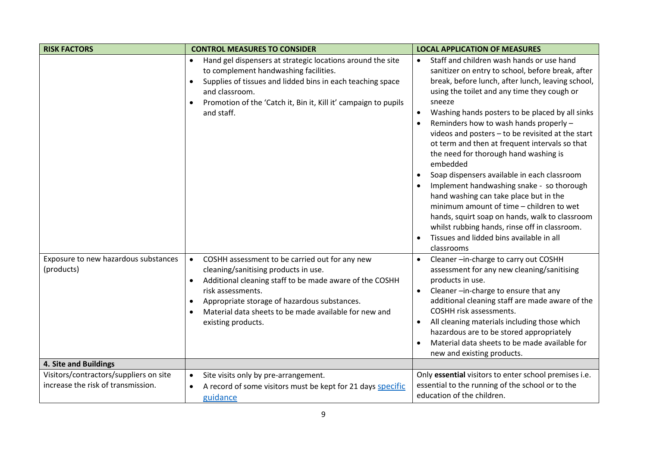| <b>RISK FACTORS</b>                                                          | <b>CONTROL MEASURES TO CONSIDER</b>                                                                                                                                                                                                                                                                                                                       | <b>LOCAL APPLICATION OF MEASURES</b>                                                                                                                                                                                                                                                                                                                                                                                                                                                                                                                                                                                                                                                                                                                                                                                              |
|------------------------------------------------------------------------------|-----------------------------------------------------------------------------------------------------------------------------------------------------------------------------------------------------------------------------------------------------------------------------------------------------------------------------------------------------------|-----------------------------------------------------------------------------------------------------------------------------------------------------------------------------------------------------------------------------------------------------------------------------------------------------------------------------------------------------------------------------------------------------------------------------------------------------------------------------------------------------------------------------------------------------------------------------------------------------------------------------------------------------------------------------------------------------------------------------------------------------------------------------------------------------------------------------------|
|                                                                              | Hand gel dispensers at strategic locations around the site<br>to complement handwashing facilities.<br>Supplies of tissues and lidded bins in each teaching space<br>and classroom.<br>Promotion of the 'Catch it, Bin it, Kill it' campaign to pupils<br>and staff.                                                                                      | Staff and children wash hands or use hand<br>$\bullet$<br>sanitizer on entry to school, before break, after<br>break, before lunch, after lunch, leaving school,<br>using the toilet and any time they cough or<br>sneeze<br>Washing hands posters to be placed by all sinks<br>Reminders how to wash hands properly -<br>videos and posters - to be revisited at the start<br>ot term and then at frequent intervals so that<br>the need for thorough hand washing is<br>embedded<br>Soap dispensers available in each classroom<br>Implement handwashing snake - so thorough<br>hand washing can take place but in the<br>minimum amount of time - children to wet<br>hands, squirt soap on hands, walk to classroom<br>whilst rubbing hands, rinse off in classroom.<br>Tissues and lidded bins available in all<br>classrooms |
| Exposure to new hazardous substances<br>(products)                           | COSHH assessment to be carried out for any new<br>$\bullet$<br>cleaning/sanitising products in use.<br>Additional cleaning staff to be made aware of the COSHH<br>$\bullet$<br>risk assessments.<br>Appropriate storage of hazardous substances.<br>$\bullet$<br>Material data sheets to be made available for new and<br>$\bullet$<br>existing products. | Cleaner-in-charge to carry out COSHH<br>assessment for any new cleaning/sanitising<br>products in use.<br>Cleaner-in-charge to ensure that any<br>$\bullet$<br>additional cleaning staff are made aware of the<br><b>COSHH risk assessments.</b><br>All cleaning materials including those which<br>hazardous are to be stored appropriately<br>Material data sheets to be made available for<br>new and existing products.                                                                                                                                                                                                                                                                                                                                                                                                       |
| 4. Site and Buildings                                                        |                                                                                                                                                                                                                                                                                                                                                           |                                                                                                                                                                                                                                                                                                                                                                                                                                                                                                                                                                                                                                                                                                                                                                                                                                   |
| Visitors/contractors/suppliers on site<br>increase the risk of transmission. | Site visits only by pre-arrangement.<br>$\bullet$<br>A record of some visitors must be kept for 21 days specific<br>$\bullet$<br>guidance                                                                                                                                                                                                                 | Only essential visitors to enter school premises i.e.<br>essential to the running of the school or to the<br>education of the children.                                                                                                                                                                                                                                                                                                                                                                                                                                                                                                                                                                                                                                                                                           |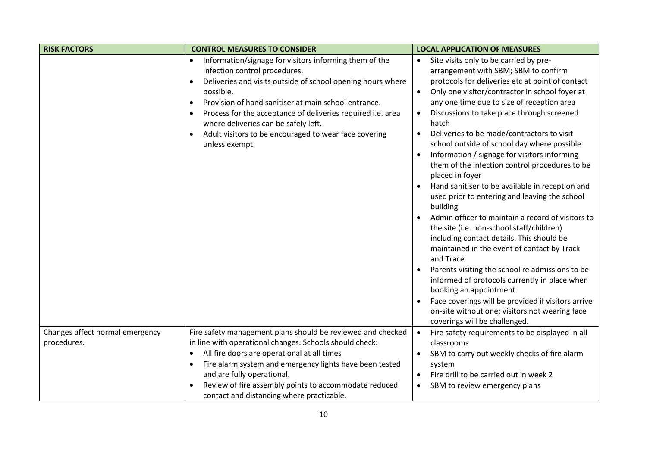| <b>RISK FACTORS</b>             | <b>CONTROL MEASURES TO CONSIDER</b>                                                                                                                                                                                                                                                                                                                                                                                                     | <b>LOCAL APPLICATION OF MEASURES</b>                                                                                                                                                                                                                                                                                                                                                                                                                                                                                                                                                                                                                                                                                                                                                                                                                                                                                                                                                                                                                                                                                                                                           |
|---------------------------------|-----------------------------------------------------------------------------------------------------------------------------------------------------------------------------------------------------------------------------------------------------------------------------------------------------------------------------------------------------------------------------------------------------------------------------------------|--------------------------------------------------------------------------------------------------------------------------------------------------------------------------------------------------------------------------------------------------------------------------------------------------------------------------------------------------------------------------------------------------------------------------------------------------------------------------------------------------------------------------------------------------------------------------------------------------------------------------------------------------------------------------------------------------------------------------------------------------------------------------------------------------------------------------------------------------------------------------------------------------------------------------------------------------------------------------------------------------------------------------------------------------------------------------------------------------------------------------------------------------------------------------------|
|                                 | Information/signage for visitors informing them of the<br>infection control procedures.<br>Deliveries and visits outside of school opening hours where<br>$\bullet$<br>possible.<br>Provision of hand sanitiser at main school entrance.<br>$\bullet$<br>Process for the acceptance of deliveries required i.e. area<br>where deliveries can be safely left.<br>Adult visitors to be encouraged to wear face covering<br>unless exempt. | Site visits only to be carried by pre-<br>$\bullet$<br>arrangement with SBM; SBM to confirm<br>protocols for deliveries etc at point of contact<br>Only one visitor/contractor in school foyer at<br>$\bullet$<br>any one time due to size of reception area<br>Discussions to take place through screened<br>$\bullet$<br>hatch<br>Deliveries to be made/contractors to visit<br>$\bullet$<br>school outside of school day where possible<br>Information / signage for visitors informing<br>$\bullet$<br>them of the infection control procedures to be<br>placed in foyer<br>Hand sanitiser to be available in reception and<br>used prior to entering and leaving the school<br>building<br>Admin officer to maintain a record of visitors to<br>the site (i.e. non-school staff/children)<br>including contact details. This should be<br>maintained in the event of contact by Track<br>and Trace<br>Parents visiting the school re admissions to be<br>informed of protocols currently in place when<br>booking an appointment<br>Face coverings will be provided if visitors arrive<br>on-site without one; visitors not wearing face<br>coverings will be challenged. |
| Changes affect normal emergency | Fire safety management plans should be reviewed and checked                                                                                                                                                                                                                                                                                                                                                                             | Fire safety requirements to be displayed in all<br>$\bullet$                                                                                                                                                                                                                                                                                                                                                                                                                                                                                                                                                                                                                                                                                                                                                                                                                                                                                                                                                                                                                                                                                                                   |
| procedures.                     | in line with operational changes. Schools should check:                                                                                                                                                                                                                                                                                                                                                                                 | classrooms                                                                                                                                                                                                                                                                                                                                                                                                                                                                                                                                                                                                                                                                                                                                                                                                                                                                                                                                                                                                                                                                                                                                                                     |
|                                 | All fire doors are operational at all times                                                                                                                                                                                                                                                                                                                                                                                             | SBM to carry out weekly checks of fire alarm                                                                                                                                                                                                                                                                                                                                                                                                                                                                                                                                                                                                                                                                                                                                                                                                                                                                                                                                                                                                                                                                                                                                   |
|                                 | Fire alarm system and emergency lights have been tested<br>$\bullet$<br>and are fully operational.                                                                                                                                                                                                                                                                                                                                      | system<br>Fire drill to be carried out in week 2<br>$\bullet$                                                                                                                                                                                                                                                                                                                                                                                                                                                                                                                                                                                                                                                                                                                                                                                                                                                                                                                                                                                                                                                                                                                  |
|                                 | Review of fire assembly points to accommodate reduced                                                                                                                                                                                                                                                                                                                                                                                   |                                                                                                                                                                                                                                                                                                                                                                                                                                                                                                                                                                                                                                                                                                                                                                                                                                                                                                                                                                                                                                                                                                                                                                                |
|                                 | contact and distancing where practicable.                                                                                                                                                                                                                                                                                                                                                                                               | SBM to review emergency plans<br>$\bullet$                                                                                                                                                                                                                                                                                                                                                                                                                                                                                                                                                                                                                                                                                                                                                                                                                                                                                                                                                                                                                                                                                                                                     |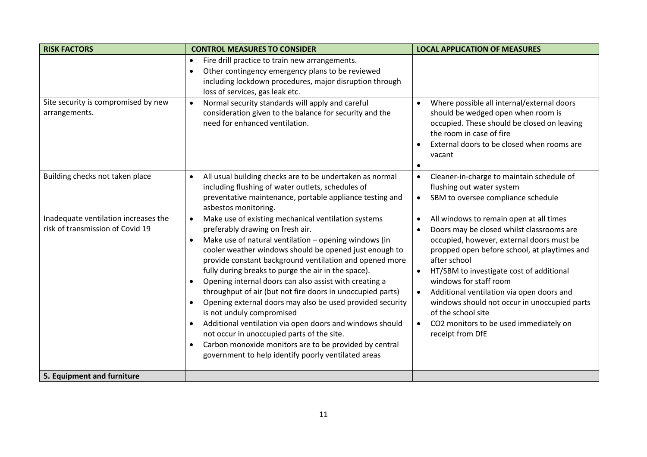| <b>RISK FACTORS</b>                                                      | <b>CONTROL MEASURES TO CONSIDER</b>                                                                                                                                                                                                                                                                                                                                                                                                                                                                                                                                                                                                                                                                                                                                                                                                        | <b>LOCAL APPLICATION OF MEASURES</b>                                                                                                                                                                                                                                                                                                                                                                                                                                                            |
|--------------------------------------------------------------------------|--------------------------------------------------------------------------------------------------------------------------------------------------------------------------------------------------------------------------------------------------------------------------------------------------------------------------------------------------------------------------------------------------------------------------------------------------------------------------------------------------------------------------------------------------------------------------------------------------------------------------------------------------------------------------------------------------------------------------------------------------------------------------------------------------------------------------------------------|-------------------------------------------------------------------------------------------------------------------------------------------------------------------------------------------------------------------------------------------------------------------------------------------------------------------------------------------------------------------------------------------------------------------------------------------------------------------------------------------------|
|                                                                          | Fire drill practice to train new arrangements.<br>$\bullet$<br>Other contingency emergency plans to be reviewed<br>$\bullet$<br>including lockdown procedures, major disruption through<br>loss of services, gas leak etc.                                                                                                                                                                                                                                                                                                                                                                                                                                                                                                                                                                                                                 |                                                                                                                                                                                                                                                                                                                                                                                                                                                                                                 |
| Site security is compromised by new<br>arrangements.                     | Normal security standards will apply and careful<br>$\bullet$<br>consideration given to the balance for security and the<br>need for enhanced ventilation.                                                                                                                                                                                                                                                                                                                                                                                                                                                                                                                                                                                                                                                                                 | Where possible all internal/external doors<br>$\bullet$<br>should be wedged open when room is<br>occupied. These should be closed on leaving<br>the room in case of fire<br>External doors to be closed when rooms are<br>vacant<br>$\bullet$                                                                                                                                                                                                                                                   |
| Building checks not taken place                                          | All usual building checks are to be undertaken as normal<br>$\bullet$<br>including flushing of water outlets, schedules of<br>preventative maintenance, portable appliance testing and<br>asbestos monitoring.                                                                                                                                                                                                                                                                                                                                                                                                                                                                                                                                                                                                                             | Cleaner-in-charge to maintain schedule of<br>$\bullet$<br>flushing out water system<br>SBM to oversee compliance schedule<br>$\bullet$                                                                                                                                                                                                                                                                                                                                                          |
| Inadequate ventilation increases the<br>risk of transmission of Covid 19 | Make use of existing mechanical ventilation systems<br>$\bullet$<br>preferably drawing on fresh air.<br>Make use of natural ventilation - opening windows (in<br>$\bullet$<br>cooler weather windows should be opened just enough to<br>provide constant background ventilation and opened more<br>fully during breaks to purge the air in the space).<br>Opening internal doors can also assist with creating a<br>$\bullet$<br>throughput of air (but not fire doors in unoccupied parts)<br>Opening external doors may also be used provided security<br>$\bullet$<br>is not unduly compromised<br>Additional ventilation via open doors and windows should<br>not occur in unoccupied parts of the site.<br>Carbon monoxide monitors are to be provided by central<br>$\bullet$<br>government to help identify poorly ventilated areas | All windows to remain open at all times<br>$\bullet$<br>Doors may be closed whilst classrooms are<br>$\bullet$<br>occupied, however, external doors must be<br>propped open before school, at playtimes and<br>after school<br>HT/SBM to investigate cost of additional<br>$\bullet$<br>windows for staff room<br>Additional ventilation via open doors and<br>windows should not occur in unoccupied parts<br>of the school site<br>CO2 monitors to be used immediately on<br>receipt from DfE |
| 5. Equipment and furniture                                               |                                                                                                                                                                                                                                                                                                                                                                                                                                                                                                                                                                                                                                                                                                                                                                                                                                            |                                                                                                                                                                                                                                                                                                                                                                                                                                                                                                 |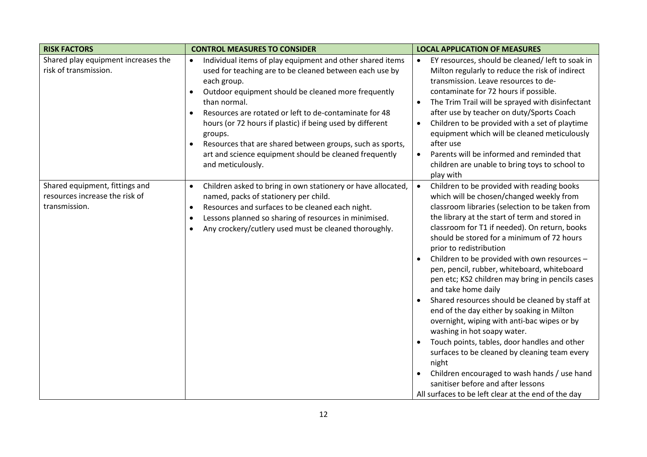| <b>RISK FACTORS</b>                                                               | <b>CONTROL MEASURES TO CONSIDER</b>                                                                                                                                                                                                                                                                                                                                                                                                                                                                                                          | <b>LOCAL APPLICATION OF MEASURES</b>                                                                                                                                                                                                                                                                                                                                                                                                                                                                                                                                                                                                                                                                                                                                                                                                                                                                                                 |
|-----------------------------------------------------------------------------------|----------------------------------------------------------------------------------------------------------------------------------------------------------------------------------------------------------------------------------------------------------------------------------------------------------------------------------------------------------------------------------------------------------------------------------------------------------------------------------------------------------------------------------------------|--------------------------------------------------------------------------------------------------------------------------------------------------------------------------------------------------------------------------------------------------------------------------------------------------------------------------------------------------------------------------------------------------------------------------------------------------------------------------------------------------------------------------------------------------------------------------------------------------------------------------------------------------------------------------------------------------------------------------------------------------------------------------------------------------------------------------------------------------------------------------------------------------------------------------------------|
| Shared play equipment increases the<br>risk of transmission.                      | Individual items of play equipment and other shared items<br>$\bullet$<br>used for teaching are to be cleaned between each use by<br>each group.<br>Outdoor equipment should be cleaned more frequently<br>$\bullet$<br>than normal.<br>Resources are rotated or left to de-contaminate for 48<br>$\bullet$<br>hours (or 72 hours if plastic) if being used by different<br>groups.<br>Resources that are shared between groups, such as sports,<br>$\bullet$<br>art and science equipment should be cleaned frequently<br>and meticulously. | EY resources, should be cleaned/ left to soak in<br>$\bullet$<br>Milton regularly to reduce the risk of indirect<br>transmission. Leave resources to de-<br>contaminate for 72 hours if possible.<br>The Trim Trail will be sprayed with disinfectant<br>$\bullet$<br>after use by teacher on duty/Sports Coach<br>Children to be provided with a set of playtime<br>$\bullet$<br>equipment which will be cleaned meticulously<br>after use<br>Parents will be informed and reminded that<br>$\bullet$<br>children are unable to bring toys to school to<br>play with                                                                                                                                                                                                                                                                                                                                                                |
| Shared equipment, fittings and<br>resources increase the risk of<br>transmission. | Children asked to bring in own stationery or have allocated,<br>$\bullet$<br>named, packs of stationery per child.<br>Resources and surfaces to be cleaned each night.<br>$\bullet$<br>Lessons planned so sharing of resources in minimised.<br>$\bullet$<br>Any crockery/cutlery used must be cleaned thoroughly.<br>$\bullet$                                                                                                                                                                                                              | Children to be provided with reading books<br>which will be chosen/changed weekly from<br>classroom libraries (selection to be taken from<br>the library at the start of term and stored in<br>classroom for T1 if needed). On return, books<br>should be stored for a minimum of 72 hours<br>prior to redistribution<br>Children to be provided with own resources -<br>pen, pencil, rubber, whiteboard, whiteboard<br>pen etc; KS2 children may bring in pencils cases<br>and take home daily<br>Shared resources should be cleaned by staff at<br>end of the day either by soaking in Milton<br>overnight, wiping with anti-bac wipes or by<br>washing in hot soapy water.<br>Touch points, tables, door handles and other<br>surfaces to be cleaned by cleaning team every<br>night<br>Children encouraged to wash hands / use hand<br>sanitiser before and after lessons<br>All surfaces to be left clear at the end of the day |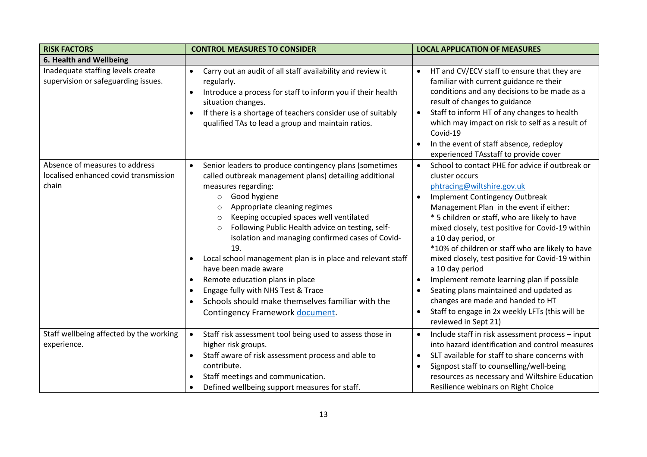| <b>RISK FACTORS</b>                                                              | <b>CONTROL MEASURES TO CONSIDER</b>                                                                                                                                                                                                                                                                                                                                                                                                                                                                                                                                                                                                                                   | <b>LOCAL APPLICATION OF MEASURES</b>                                                                                                                                                                                                                                                                                                                                                                                                                                                                                                                                                                                                                                                                    |
|----------------------------------------------------------------------------------|-----------------------------------------------------------------------------------------------------------------------------------------------------------------------------------------------------------------------------------------------------------------------------------------------------------------------------------------------------------------------------------------------------------------------------------------------------------------------------------------------------------------------------------------------------------------------------------------------------------------------------------------------------------------------|---------------------------------------------------------------------------------------------------------------------------------------------------------------------------------------------------------------------------------------------------------------------------------------------------------------------------------------------------------------------------------------------------------------------------------------------------------------------------------------------------------------------------------------------------------------------------------------------------------------------------------------------------------------------------------------------------------|
| 6. Health and Wellbeing                                                          |                                                                                                                                                                                                                                                                                                                                                                                                                                                                                                                                                                                                                                                                       |                                                                                                                                                                                                                                                                                                                                                                                                                                                                                                                                                                                                                                                                                                         |
| Inadequate staffing levels create<br>supervision or safeguarding issues.         | Carry out an audit of all staff availability and review it<br>$\bullet$<br>regularly.<br>Introduce a process for staff to inform you if their health<br>$\bullet$<br>situation changes.<br>If there is a shortage of teachers consider use of suitably<br>$\bullet$<br>qualified TAs to lead a group and maintain ratios.                                                                                                                                                                                                                                                                                                                                             | HT and CV/ECV staff to ensure that they are<br>$\bullet$<br>familiar with current guidance re their<br>conditions and any decisions to be made as a<br>result of changes to guidance<br>Staff to inform HT of any changes to health<br>$\bullet$<br>which may impact on risk to self as a result of<br>Covid-19<br>In the event of staff absence, redeploy<br>$\bullet$<br>experienced TAsstaff to provide cover                                                                                                                                                                                                                                                                                        |
| Absence of measures to address<br>localised enhanced covid transmission<br>chain | Senior leaders to produce contingency plans (sometimes<br>$\bullet$<br>called outbreak management plans) detailing additional<br>measures regarding:<br>Good hygiene<br>$\circ$<br>Appropriate cleaning regimes<br>O<br>Keeping occupied spaces well ventilated<br>$\circ$<br>Following Public Health advice on testing, self-<br>$\circ$<br>isolation and managing confirmed cases of Covid-<br>19.<br>Local school management plan is in place and relevant staff<br>have been made aware<br>Remote education plans in place<br>٠<br>Engage fully with NHS Test & Trace<br>٠<br>Schools should make themselves familiar with the<br>Contingency Framework document. | School to contact PHE for advice if outbreak or<br>$\bullet$<br>cluster occurs<br>phtracing@wiltshire.gov.uk<br><b>Implement Contingency Outbreak</b><br>Management Plan in the event if either:<br>* 5 children or staff, who are likely to have<br>mixed closely, test positive for Covid-19 within<br>a 10 day period, or<br>*10% of children or staff who are likely to have<br>mixed closely, test positive for Covid-19 within<br>a 10 day period<br>Implement remote learning plan if possible<br>$\bullet$<br>Seating plans maintained and updated as<br>$\bullet$<br>changes are made and handed to HT<br>Staff to engage in 2x weekly LFTs (this will be<br>$\bullet$<br>reviewed in Sept 21) |
| Staff wellbeing affected by the working<br>experience.                           | Staff risk assessment tool being used to assess those in<br>$\bullet$<br>higher risk groups.<br>Staff aware of risk assessment process and able to<br>contribute.<br>Staff meetings and communication.<br>Defined wellbeing support measures for staff.                                                                                                                                                                                                                                                                                                                                                                                                               | Include staff in risk assessment process - input<br>$\bullet$<br>into hazard identification and control measures<br>SLT available for staff to share concerns with<br>$\bullet$<br>Signpost staff to counselling/well-being<br>resources as necessary and Wiltshire Education<br>Resilience webinars on Right Choice                                                                                                                                                                                                                                                                                                                                                                                    |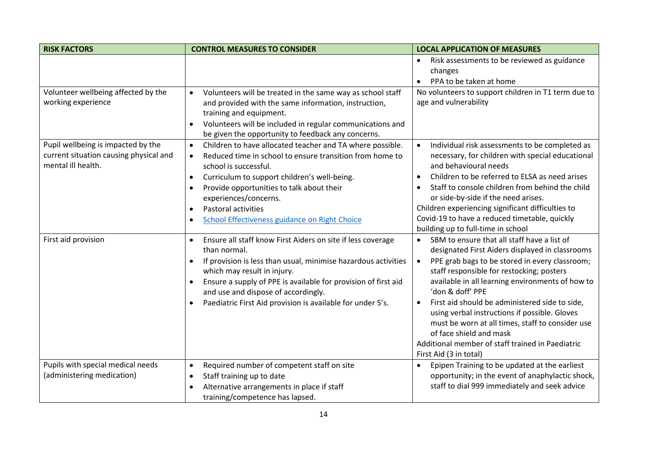| <b>RISK FACTORS</b>                                             | <b>CONTROL MEASURES TO CONSIDER</b>                                                                    | <b>LOCAL APPLICATION OF MEASURES</b>                                                                     |
|-----------------------------------------------------------------|--------------------------------------------------------------------------------------------------------|----------------------------------------------------------------------------------------------------------|
|                                                                 |                                                                                                        | Risk assessments to be reviewed as guidance                                                              |
|                                                                 |                                                                                                        | changes                                                                                                  |
|                                                                 |                                                                                                        | PPA to be taken at home<br>$\bullet$                                                                     |
| Volunteer wellbeing affected by the                             | Volunteers will be treated in the same way as school staff<br>$\bullet$                                | No volunteers to support children in T1 term due to                                                      |
| working experience                                              | and provided with the same information, instruction,                                                   | age and vulnerability                                                                                    |
|                                                                 | training and equipment.                                                                                |                                                                                                          |
|                                                                 | Volunteers will be included in regular communications and<br>$\bullet$                                 |                                                                                                          |
|                                                                 | be given the opportunity to feedback any concerns.                                                     |                                                                                                          |
| Pupil wellbeing is impacted by the                              | Children to have allocated teacher and TA where possible.<br>$\bullet$                                 | Individual risk assessments to be completed as                                                           |
| current situation causing physical and<br>mental ill health.    | Reduced time in school to ensure transition from home to<br>$\bullet$<br>school is successful.         | necessary, for children with special educational<br>and behavioural needs                                |
|                                                                 |                                                                                                        | Children to be referred to ELSA as need arises                                                           |
|                                                                 | Curriculum to support children's well-being.<br>$\bullet$<br>Provide opportunities to talk about their | Staff to console children from behind the child                                                          |
|                                                                 | $\bullet$<br>experiences/concerns.                                                                     | or side-by-side if the need arises.                                                                      |
|                                                                 | Pastoral activities<br>$\bullet$                                                                       | Children experiencing significant difficulties to                                                        |
|                                                                 | <b>School Effectiveness guidance on Right Choice</b><br>$\bullet$                                      | Covid-19 to have a reduced timetable, quickly                                                            |
|                                                                 |                                                                                                        | building up to full-time in school                                                                       |
| First aid provision                                             | Ensure all staff know First Aiders on site if less coverage<br>$\bullet$                               | SBM to ensure that all staff have a list of                                                              |
|                                                                 | than normal.                                                                                           | designated First Aiders displayed in classrooms                                                          |
|                                                                 | If provision is less than usual, minimise hazardous activities<br>$\bullet$                            | PPE grab bags to be stored in every classroom;<br>$\bullet$<br>staff responsible for restocking; posters |
|                                                                 | which may result in injury.<br>Ensure a supply of PPE is available for provision of first aid          | available in all learning environments of how to                                                         |
|                                                                 | and use and dispose of accordingly.                                                                    | 'don & doff' PPE                                                                                         |
|                                                                 | Paediatric First Aid provision is available for under 5's.                                             | First aid should be administered side to side,                                                           |
|                                                                 |                                                                                                        | using verbal instructions if possible. Gloves                                                            |
|                                                                 |                                                                                                        | must be worn at all times, staff to consider use                                                         |
|                                                                 |                                                                                                        | of face shield and mask                                                                                  |
|                                                                 |                                                                                                        | Additional member of staff trained in Paediatric                                                         |
|                                                                 |                                                                                                        | First Aid (3 in total)                                                                                   |
| Pupils with special medical needs<br>(administering medication) | Required number of competent staff on site<br>$\bullet$<br>Staff training up to date                   | Epipen Training to be updated at the earliest<br>opportunity; in the event of anaphylactic shock,        |
|                                                                 | $\bullet$<br>Alternative arrangements in place if staff<br>$\bullet$                                   | staff to dial 999 immediately and seek advice                                                            |
|                                                                 | training/competence has lapsed.                                                                        |                                                                                                          |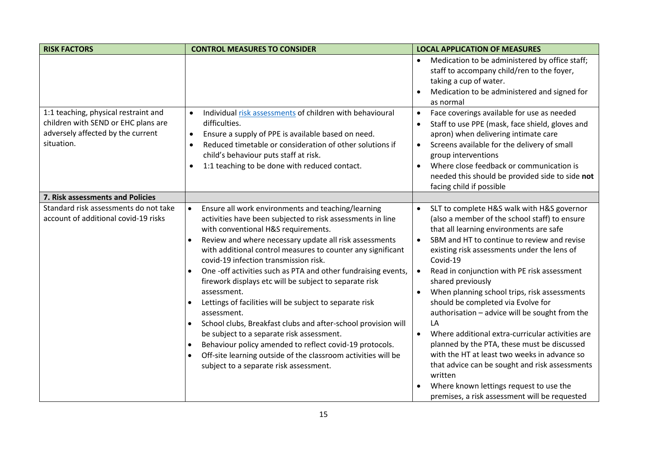| <b>RISK FACTORS</b>                                                                                                            | <b>CONTROL MEASURES TO CONSIDER</b>                                                                                                                                                                                                                                                                                                                                                                                                                                                                                                                                                                                                                                                                                                                                                                                                                                                   | <b>LOCAL APPLICATION OF MEASURES</b>                                                                                                                                                                                                                                                                                                                                                                                                                                                                                                                                                                                                                                                                                                                                                                     |
|--------------------------------------------------------------------------------------------------------------------------------|---------------------------------------------------------------------------------------------------------------------------------------------------------------------------------------------------------------------------------------------------------------------------------------------------------------------------------------------------------------------------------------------------------------------------------------------------------------------------------------------------------------------------------------------------------------------------------------------------------------------------------------------------------------------------------------------------------------------------------------------------------------------------------------------------------------------------------------------------------------------------------------|----------------------------------------------------------------------------------------------------------------------------------------------------------------------------------------------------------------------------------------------------------------------------------------------------------------------------------------------------------------------------------------------------------------------------------------------------------------------------------------------------------------------------------------------------------------------------------------------------------------------------------------------------------------------------------------------------------------------------------------------------------------------------------------------------------|
|                                                                                                                                |                                                                                                                                                                                                                                                                                                                                                                                                                                                                                                                                                                                                                                                                                                                                                                                                                                                                                       | Medication to be administered by office staff;<br>staff to accompany child/ren to the foyer,<br>taking a cup of water.<br>Medication to be administered and signed for<br>as normal                                                                                                                                                                                                                                                                                                                                                                                                                                                                                                                                                                                                                      |
| 1:1 teaching, physical restraint and<br>children with SEND or EHC plans are<br>adversely affected by the current<br>situation. | Individual risk assessments of children with behavioural<br>$\bullet$<br>difficulties.<br>Ensure a supply of PPE is available based on need.<br>$\bullet$<br>Reduced timetable or consideration of other solutions if<br>$\bullet$<br>child's behaviour puts staff at risk.<br>1:1 teaching to be done with reduced contact.<br>$\bullet$                                                                                                                                                                                                                                                                                                                                                                                                                                                                                                                                             | Face coverings available for use as needed<br>$\bullet$<br>Staff to use PPE (mask, face shield, gloves and<br>apron) when delivering intimate care<br>Screens available for the delivery of small<br>$\bullet$<br>group interventions<br>Where close feedback or communication is<br>needed this should be provided side to side not<br>facing child if possible                                                                                                                                                                                                                                                                                                                                                                                                                                         |
| 7. Risk assessments and Policies                                                                                               |                                                                                                                                                                                                                                                                                                                                                                                                                                                                                                                                                                                                                                                                                                                                                                                                                                                                                       |                                                                                                                                                                                                                                                                                                                                                                                                                                                                                                                                                                                                                                                                                                                                                                                                          |
| Standard risk assessments do not take<br>account of additional covid-19 risks                                                  | Ensure all work environments and teaching/learning<br>$\bullet$<br>activities have been subjected to risk assessments in line<br>with conventional H&S requirements.<br>Review and where necessary update all risk assessments<br>$\bullet$<br>with additional control measures to counter any significant<br>covid-19 infection transmission risk.<br>One -off activities such as PTA and other fundraising events,<br>firework displays etc will be subject to separate risk<br>assessment.<br>Lettings of facilities will be subject to separate risk<br>assessment.<br>School clubs, Breakfast clubs and after-school provision will<br>$\bullet$<br>be subject to a separate risk assessment.<br>Behaviour policy amended to reflect covid-19 protocols.<br>$\bullet$<br>Off-site learning outside of the classroom activities will be<br>subject to a separate risk assessment. | SLT to complete H&S walk with H&S governor<br>(also a member of the school staff) to ensure<br>that all learning environments are safe<br>SBM and HT to continue to review and revise<br>$\bullet$<br>existing risk assessments under the lens of<br>Covid-19<br>Read in conjunction with PE risk assessment<br>shared previously<br>When planning school trips, risk assessments<br>$\bullet$<br>should be completed via Evolve for<br>authorisation - advice will be sought from the<br>LA<br>Where additional extra-curricular activities are<br>planned by the PTA, these must be discussed<br>with the HT at least two weeks in advance so<br>that advice can be sought and risk assessments<br>written<br>Where known lettings request to use the<br>premises, a risk assessment will be requested |